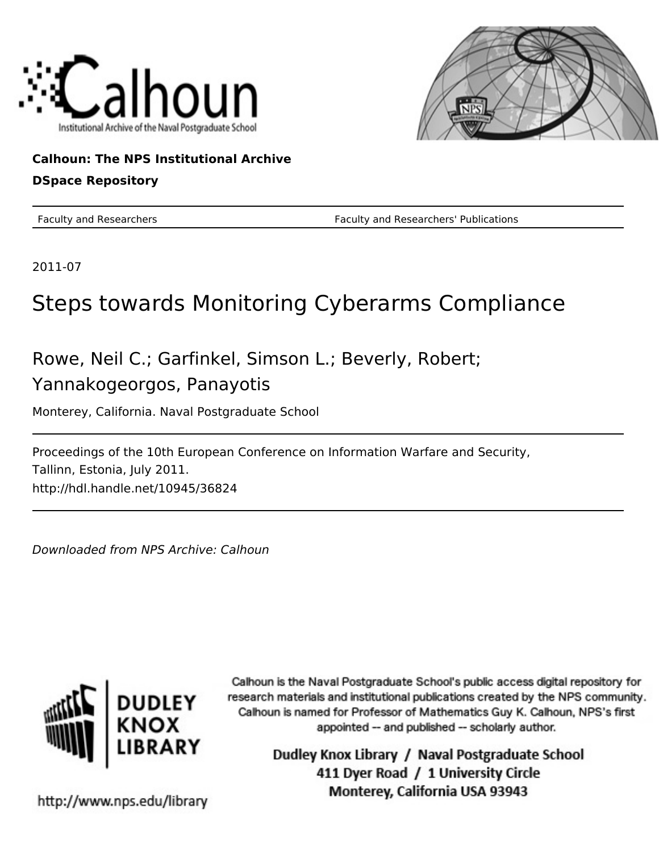



**Calhoun: The NPS Institutional Archive DSpace Repository**

Faculty and Researchers Faculty and Researchers' Publications

2011-07

# Steps towards Monitoring Cyberarms Compliance

Rowe, Neil C.; Garfinkel, Simson L.; Beverly, Robert; Yannakogeorgos, Panayotis

Monterey, California. Naval Postgraduate School

Proceedings of the 10th European Conference on Information Warfare and Security, Tallinn, Estonia, July 2011. http://hdl.handle.net/10945/36824

Downloaded from NPS Archive: Calhoun



Calhoun is the Naval Postgraduate School's public access digital repository for research materials and institutional publications created by the NPS community. Calhoun is named for Professor of Mathematics Guy K. Calhoun, NPS's first appointed -- and published -- scholarly author.

> Dudley Knox Library / Naval Postgraduate School 411 Dyer Road / 1 University Circle Monterey, California USA 93943

http://www.nps.edu/library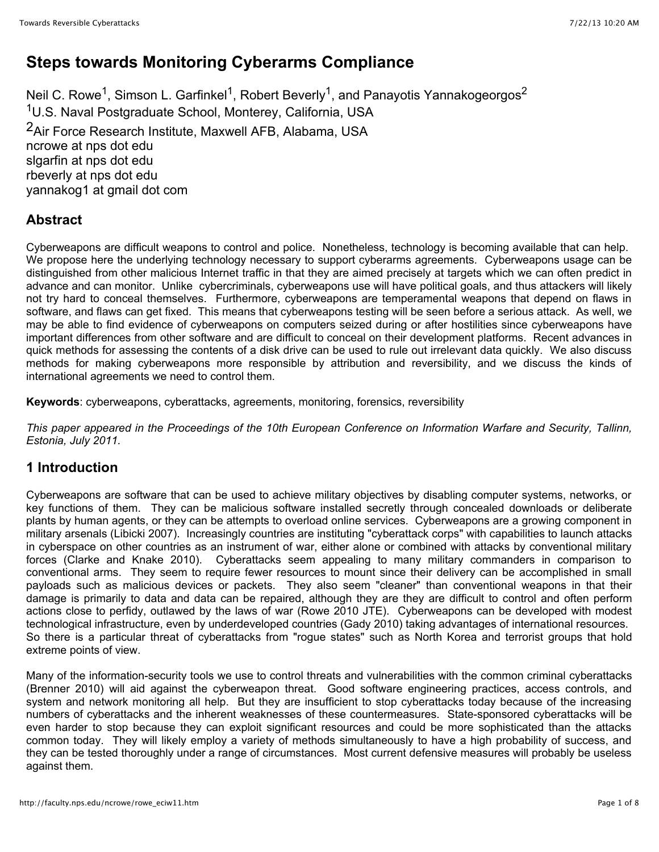## **Steps towards Monitoring Cyberarms Compliance**

Neil C. Rowe<sup>1</sup>, Simson L. Garfinkel<sup>1</sup>, Robert Beverly<sup>1</sup>, and Panayotis Yannakogeorgos<sup>2</sup> 1U.S. Naval Postgraduate School, Monterey, California, USA 2Air Force Research Institute, Maxwell AFB, Alabama, USA ncrowe at nps dot edu slgarfin at nps dot edu rbeverly at nps dot edu yannakog1 at gmail dot com

## **Abstract**

Cyberweapons are difficult weapons to control and police. Nonetheless, technology is becoming available that can help. We propose here the underlying technology necessary to support cyberarms agreements. Cyberweapons usage can be distinguished from other malicious Internet traffic in that they are aimed precisely at targets which we can often predict in advance and can monitor. Unlike cybercriminals, cyberweapons use will have political goals, and thus attackers will likely not try hard to conceal themselves. Furthermore, cyberweapons are temperamental weapons that depend on flaws in software, and flaws can get fixed. This means that cyberweapons testing will be seen before a serious attack. As well, we may be able to find evidence of cyberweapons on computers seized during or after hostilities since cyberweapons have important differences from other software and are difficult to conceal on their development platforms. Recent advances in quick methods for assessing the contents of a disk drive can be used to rule out irrelevant data quickly. We also discuss methods for making cyberweapons more responsible by attribution and reversibility, and we discuss the kinds of international agreements we need to control them.

**Keywords**: cyberweapons, cyberattacks, agreements, monitoring, forensics, reversibility

*This paper appeared in the Proceedings of the 10th European Conference on Information Warfare and Security, Tallinn, Estonia, July 2011.*

## **1 Introduction**

Cyberweapons are software that can be used to achieve military objectives by disabling computer systems, networks, or key functions of them. They can be malicious software installed secretly through concealed downloads or deliberate plants by human agents, or they can be attempts to overload online services. Cyberweapons are a growing component in military arsenals (Libicki 2007). Increasingly countries are instituting "cyberattack corps" with capabilities to launch attacks in cyberspace on other countries as an instrument of war, either alone or combined with attacks by conventional military forces (Clarke and Knake 2010). Cyberattacks seem appealing to many military commanders in comparison to conventional arms. They seem to require fewer resources to mount since their delivery can be accomplished in small payloads such as malicious devices or packets. They also seem "cleaner" than conventional weapons in that their damage is primarily to data and data can be repaired, although they are they are difficult to control and often perform actions close to perfidy, outlawed by the laws of war (Rowe 2010 JTE). Cyberweapons can be developed with modest technological infrastructure, even by underdeveloped countries (Gady 2010) taking advantages of international resources. So there is a particular threat of cyberattacks from "rogue states" such as North Korea and terrorist groups that hold extreme points of view.

Many of the information-security tools we use to control threats and vulnerabilities with the common criminal cyberattacks (Brenner 2010) will aid against the cyberweapon threat. Good software engineering practices, access controls, and system and network monitoring all help. But they are insufficient to stop cyberattacks today because of the increasing numbers of cyberattacks and the inherent weaknesses of these countermeasures. State-sponsored cyberattacks will be even harder to stop because they can exploit significant resources and could be more sophisticated than the attacks common today. They will likely employ a variety of methods simultaneously to have a high probability of success, and they can be tested thoroughly under a range of circumstances. Most current defensive measures will probably be useless against them.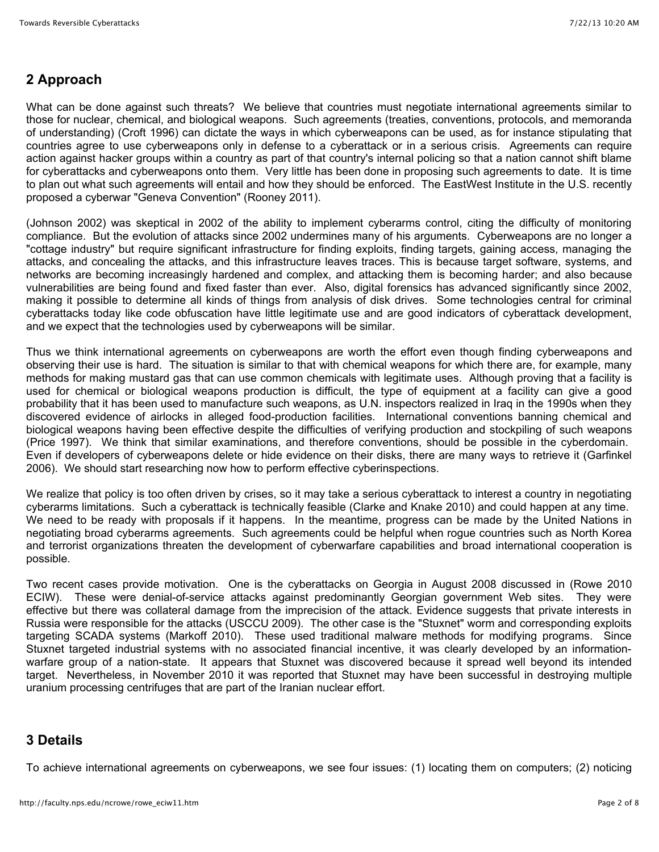## **2 Approach**

What can be done against such threats? We believe that countries must negotiate international agreements similar to those for nuclear, chemical, and biological weapons. Such agreements (treaties, conventions, protocols, and memoranda of understanding) (Croft 1996) can dictate the ways in which cyberweapons can be used, as for instance stipulating that countries agree to use cyberweapons only in defense to a cyberattack or in a serious crisis. Agreements can require action against hacker groups within a country as part of that country's internal policing so that a nation cannot shift blame for cyberattacks and cyberweapons onto them. Very little has been done in proposing such agreements to date. It is time to plan out what such agreements will entail and how they should be enforced. The EastWest Institute in the U.S. recently proposed a cyberwar "Geneva Convention" (Rooney 2011).

(Johnson 2002) was skeptical in 2002 of the ability to implement cyberarms control, citing the difficulty of monitoring compliance. But the evolution of attacks since 2002 undermines many of his arguments. Cyberweapons are no longer a "cottage industry" but require significant infrastructure for finding exploits, finding targets, gaining access, managing the attacks, and concealing the attacks, and this infrastructure leaves traces. This is because target software, systems, and networks are becoming increasingly hardened and complex, and attacking them is becoming harder; and also because vulnerabilities are being found and fixed faster than ever. Also, digital forensics has advanced significantly since 2002, making it possible to determine all kinds of things from analysis of disk drives. Some technologies central for criminal cyberattacks today like code obfuscation have little legitimate use and are good indicators of cyberattack development, and we expect that the technologies used by cyberweapons will be similar.

Thus we think international agreements on cyberweapons are worth the effort even though finding cyberweapons and observing their use is hard. The situation is similar to that with chemical weapons for which there are, for example, many methods for making mustard gas that can use common chemicals with legitimate uses. Although proving that a facility is used for chemical or biological weapons production is difficult, the type of equipment at a facility can give a good probability that it has been used to manufacture such weapons, as U.N. inspectors realized in Iraq in the 1990s when they discovered evidence of airlocks in alleged food-production facilities. International conventions banning chemical and biological weapons having been effective despite the difficulties of verifying production and stockpiling of such weapons (Price 1997). We think that similar examinations, and therefore conventions, should be possible in the cyberdomain. Even if developers of cyberweapons delete or hide evidence on their disks, there are many ways to retrieve it (Garfinkel 2006). We should start researching now how to perform effective cyberinspections.

We realize that policy is too often driven by crises, so it may take a serious cyberattack to interest a country in negotiating cyberarms limitations. Such a cyberattack is technically feasible (Clarke and Knake 2010) and could happen at any time. We need to be ready with proposals if it happens. In the meantime, progress can be made by the United Nations in negotiating broad cyberarms agreements. Such agreements could be helpful when rogue countries such as North Korea and terrorist organizations threaten the development of cyberwarfare capabilities and broad international cooperation is possible.

Two recent cases provide motivation. One is the cyberattacks on Georgia in August 2008 discussed in (Rowe 2010 ECIW). These were denial-of-service attacks against predominantly Georgian government Web sites. They were effective but there was collateral damage from the imprecision of the attack. Evidence suggests that private interests in Russia were responsible for the attacks (USCCU 2009). The other case is the "Stuxnet" worm and corresponding exploits targeting SCADA systems (Markoff 2010). These used traditional malware methods for modifying programs. Since Stuxnet targeted industrial systems with no associated financial incentive, it was clearly developed by an informationwarfare group of a nation-state. It appears that Stuxnet was discovered because it spread well beyond its intended target. Nevertheless, in November 2010 it was reported that Stuxnet may have been successful in destroying multiple uranium processing centrifuges that are part of the Iranian nuclear effort.

## **3 Details**

To achieve international agreements on cyberweapons, we see four issues: (1) locating them on computers; (2) noticing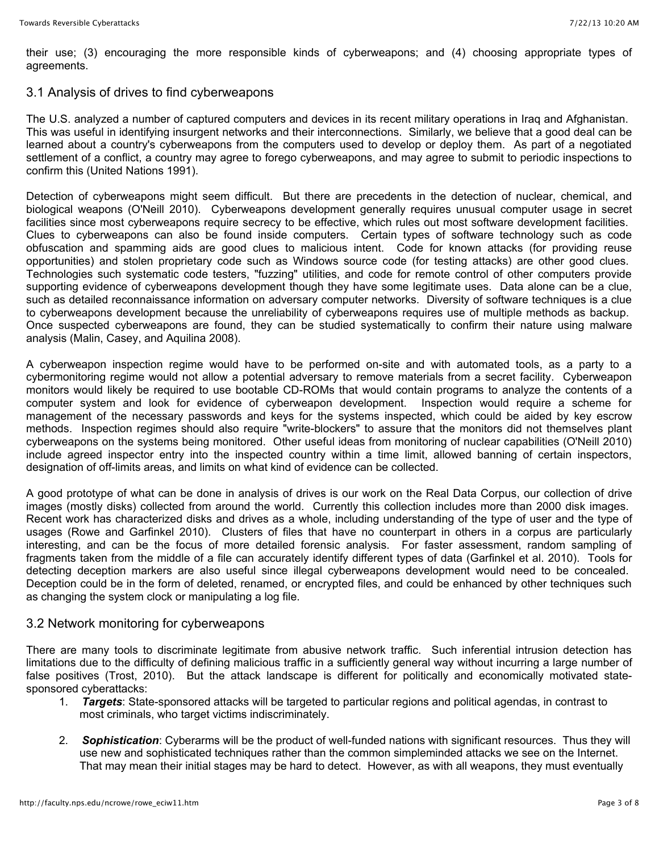their use; (3) encouraging the more responsible kinds of cyberweapons; and (4) choosing appropriate types of agreements.

#### 3.1 Analysis of drives to find cyberweapons

The U.S. analyzed a number of captured computers and devices in its recent military operations in Iraq and Afghanistan. This was useful in identifying insurgent networks and their interconnections. Similarly, we believe that a good deal can be learned about a country's cyberweapons from the computers used to develop or deploy them. As part of a negotiated settlement of a conflict, a country may agree to forego cyberweapons, and may agree to submit to periodic inspections to confirm this (United Nations 1991).

Detection of cyberweapons might seem difficult. But there are precedents in the detection of nuclear, chemical, and biological weapons (O'Neill 2010). Cyberweapons development generally requires unusual computer usage in secret facilities since most cyberweapons require secrecy to be effective, which rules out most software development facilities. Clues to cyberweapons can also be found inside computers. Certain types of software technology such as code obfuscation and spamming aids are good clues to malicious intent. Code for known attacks (for providing reuse opportunities) and stolen proprietary code such as Windows source code (for testing attacks) are other good clues. Technologies such systematic code testers, "fuzzing" utilities, and code for remote control of other computers provide supporting evidence of cyberweapons development though they have some legitimate uses. Data alone can be a clue, such as detailed reconnaissance information on adversary computer networks. Diversity of software techniques is a clue to cyberweapons development because the unreliability of cyberweapons requires use of multiple methods as backup. Once suspected cyberweapons are found, they can be studied systematically to confirm their nature using malware analysis (Malin, Casey, and Aquilina 2008).

A cyberweapon inspection regime would have to be performed on-site and with automated tools, as a party to a cybermonitoring regime would not allow a potential adversary to remove materials from a secret facility. Cyberweapon monitors would likely be required to use bootable CD-ROMs that would contain programs to analyze the contents of a computer system and look for evidence of cyberweapon development. Inspection would require a scheme for management of the necessary passwords and keys for the systems inspected, which could be aided by key escrow methods. Inspection regimes should also require "write-blockers" to assure that the monitors did not themselves plant cyberweapons on the systems being monitored. Other useful ideas from monitoring of nuclear capabilities (O'Neill 2010) include agreed inspector entry into the inspected country within a time limit, allowed banning of certain inspectors, designation of off-limits areas, and limits on what kind of evidence can be collected.

A good prototype of what can be done in analysis of drives is our work on the Real Data Corpus, our collection of drive images (mostly disks) collected from around the world. Currently this collection includes more than 2000 disk images. Recent work has characterized disks and drives as a whole, including understanding of the type of user and the type of usages (Rowe and Garfinkel 2010). Clusters of files that have no counterpart in others in a corpus are particularly interesting, and can be the focus of more detailed forensic analysis. For faster assessment, random sampling of fragments taken from the middle of a file can accurately identify different types of data (Garfinkel et al. 2010). Tools for detecting deception markers are also useful since illegal cyberweapons development would need to be concealed. Deception could be in the form of deleted, renamed, or encrypted files, and could be enhanced by other techniques such as changing the system clock or manipulating a log file.

#### 3.2 Network monitoring for cyberweapons

There are many tools to discriminate legitimate from abusive network traffic. Such inferential intrusion detection has limitations due to the difficulty of defining malicious traffic in a sufficiently general way without incurring a large number of false positives (Trost, 2010). But the attack landscape is different for politically and economically motivated statesponsored cyberattacks:

- 1. *Targets*: State-sponsored attacks will be targeted to particular regions and political agendas, in contrast to most criminals, who target victims indiscriminately.
- 2. *Sophistication*: Cyberarms will be the product of well-funded nations with significant resources. Thus they will use new and sophisticated techniques rather than the common simpleminded attacks we see on the Internet. That may mean their initial stages may be hard to detect. However, as with all weapons, they must eventually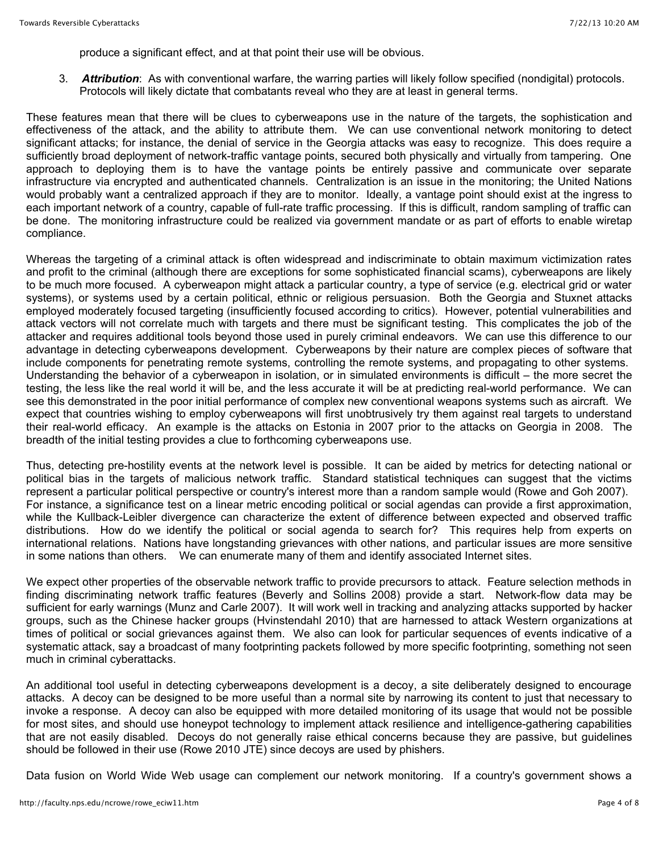produce a significant effect, and at that point their use will be obvious.

3. *Attribution*: As with conventional warfare, the warring parties will likely follow specified (nondigital) protocols. Protocols will likely dictate that combatants reveal who they are at least in general terms.

These features mean that there will be clues to cyberweapons use in the nature of the targets, the sophistication and effectiveness of the attack, and the ability to attribute them. We can use conventional network monitoring to detect significant attacks; for instance, the denial of service in the Georgia attacks was easy to recognize. This does require a sufficiently broad deployment of network-traffic vantage points, secured both physically and virtually from tampering. One approach to deploying them is to have the vantage points be entirely passive and communicate over separate infrastructure via encrypted and authenticated channels. Centralization is an issue in the monitoring; the United Nations would probably want a centralized approach if they are to monitor. Ideally, a vantage point should exist at the ingress to each important network of a country, capable of full-rate traffic processing. If this is difficult, random sampling of traffic can be done. The monitoring infrastructure could be realized via government mandate or as part of efforts to enable wiretap compliance.

Whereas the targeting of a criminal attack is often widespread and indiscriminate to obtain maximum victimization rates and profit to the criminal (although there are exceptions for some sophisticated financial scams), cyberweapons are likely to be much more focused. A cyberweapon might attack a particular country, a type of service (e.g. electrical grid or water systems), or systems used by a certain political, ethnic or religious persuasion. Both the Georgia and Stuxnet attacks employed moderately focused targeting (insufficiently focused according to critics). However, potential vulnerabilities and attack vectors will not correlate much with targets and there must be significant testing. This complicates the job of the attacker and requires additional tools beyond those used in purely criminal endeavors. We can use this difference to our advantage in detecting cyberweapons development. Cyberweapons by their nature are complex pieces of software that include components for penetrating remote systems, controlling the remote systems, and propagating to other systems. Understanding the behavior of a cyberweapon in isolation, or in simulated environments is difficult – the more secret the testing, the less like the real world it will be, and the less accurate it will be at predicting real-world performance. We can see this demonstrated in the poor initial performance of complex new conventional weapons systems such as aircraft. We expect that countries wishing to employ cyberweapons will first unobtrusively try them against real targets to understand their real-world efficacy. An example is the attacks on Estonia in 2007 prior to the attacks on Georgia in 2008. The breadth of the initial testing provides a clue to forthcoming cyberweapons use.

Thus, detecting pre-hostility events at the network level is possible. It can be aided by metrics for detecting national or political bias in the targets of malicious network traffic. Standard statistical techniques can suggest that the victims represent a particular political perspective or country's interest more than a random sample would (Rowe and Goh 2007). For instance, a significance test on a linear metric encoding political or social agendas can provide a first approximation, while the Kullback-Leibler divergence can characterize the extent of difference between expected and observed traffic distributions. How do we identify the political or social agenda to search for? This requires help from experts on international relations. Nations have longstanding grievances with other nations, and particular issues are more sensitive in some nations than others. We can enumerate many of them and identify associated Internet sites.

We expect other properties of the observable network traffic to provide precursors to attack. Feature selection methods in finding discriminating network traffic features (Beverly and Sollins 2008) provide a start. Network-flow data may be sufficient for early warnings (Munz and Carle 2007). It will work well in tracking and analyzing attacks supported by hacker groups, such as the Chinese hacker groups (Hvinstendahl 2010) that are harnessed to attack Western organizations at times of political or social grievances against them. We also can look for particular sequences of events indicative of a systematic attack, say a broadcast of many footprinting packets followed by more specific footprinting, something not seen much in criminal cyberattacks.

An additional tool useful in detecting cyberweapons development is a decoy, a site deliberately designed to encourage attacks. A decoy can be designed to be more useful than a normal site by narrowing its content to just that necessary to invoke a response. A decoy can also be equipped with more detailed monitoring of its usage that would not be possible for most sites, and should use honeypot technology to implement attack resilience and intelligence-gathering capabilities that are not easily disabled. Decoys do not generally raise ethical concerns because they are passive, but guidelines should be followed in their use (Rowe 2010 JTE) since decoys are used by phishers.

Data fusion on World Wide Web usage can complement our network monitoring. If a country's government shows a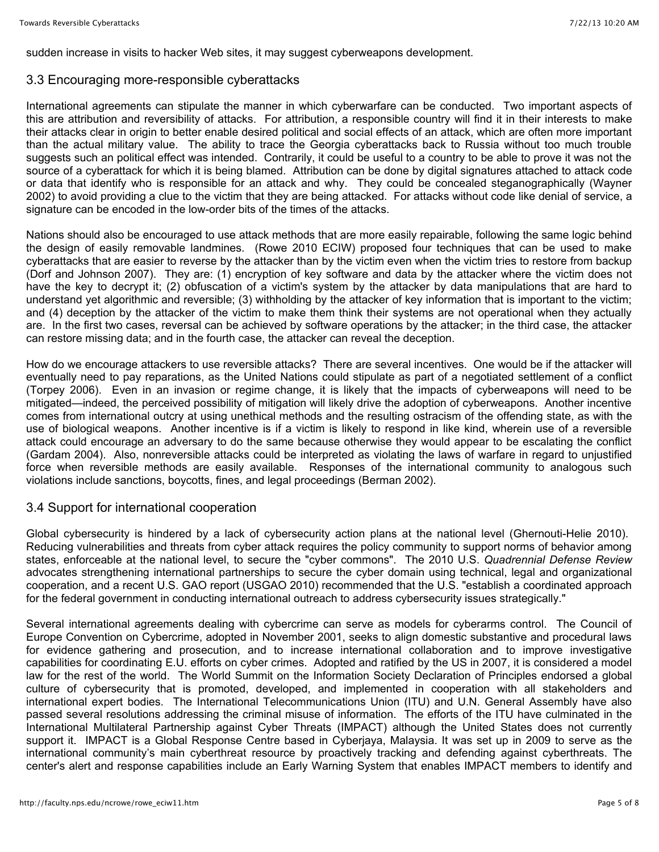sudden increase in visits to hacker Web sites, it may suggest cyberweapons development.

#### 3.3 Encouraging more-responsible cyberattacks

International agreements can stipulate the manner in which cyberwarfare can be conducted. Two important aspects of this are attribution and reversibility of attacks. For attribution, a responsible country will find it in their interests to make their attacks clear in origin to better enable desired political and social effects of an attack, which are often more important than the actual military value. The ability to trace the Georgia cyberattacks back to Russia without too much trouble suggests such an political effect was intended. Contrarily, it could be useful to a country to be able to prove it was not the source of a cyberattack for which it is being blamed. Attribution can be done by digital signatures attached to attack code or data that identify who is responsible for an attack and why. They could be concealed steganographically (Wayner 2002) to avoid providing a clue to the victim that they are being attacked. For attacks without code like denial of service, a signature can be encoded in the low-order bits of the times of the attacks.

Nations should also be encouraged to use attack methods that are more easily repairable, following the same logic behind the design of easily removable landmines. (Rowe 2010 ECIW) proposed four techniques that can be used to make cyberattacks that are easier to reverse by the attacker than by the victim even when the victim tries to restore from backup (Dorf and Johnson 2007). They are: (1) encryption of key software and data by the attacker where the victim does not have the key to decrypt it; (2) obfuscation of a victim's system by the attacker by data manipulations that are hard to understand yet algorithmic and reversible; (3) withholding by the attacker of key information that is important to the victim; and (4) deception by the attacker of the victim to make them think their systems are not operational when they actually are. In the first two cases, reversal can be achieved by software operations by the attacker; in the third case, the attacker can restore missing data; and in the fourth case, the attacker can reveal the deception.

How do we encourage attackers to use reversible attacks? There are several incentives. One would be if the attacker will eventually need to pay reparations, as the United Nations could stipulate as part of a negotiated settlement of a conflict (Torpey 2006). Even in an invasion or regime change, it is likely that the impacts of cyberweapons will need to be mitigated—indeed, the perceived possibility of mitigation will likely drive the adoption of cyberweapons. Another incentive comes from international outcry at using unethical methods and the resulting ostracism of the offending state, as with the use of biological weapons. Another incentive is if a victim is likely to respond in like kind, wherein use of a reversible attack could encourage an adversary to do the same because otherwise they would appear to be escalating the conflict (Gardam 2004). Also, nonreversible attacks could be interpreted as violating the laws of warfare in regard to unjustified force when reversible methods are easily available. Responses of the international community to analogous such violations include sanctions, boycotts, fines, and legal proceedings (Berman 2002).

#### 3.4 Support for international cooperation

Global cybersecurity is hindered by a lack of cybersecurity action plans at the national level (Ghernouti-Helie 2010). Reducing vulnerabilities and threats from cyber attack requires the policy community to support norms of behavior among states, enforceable at the national level, to secure the "cyber commons". The 2010 U.S. *Quadrennial Defense Review* advocates strengthening international partnerships to secure the cyber domain using technical, legal and organizational cooperation, and a recent U.S. GAO report (USGAO 2010) recommended that the U.S. "establish a coordinated approach for the federal government in conducting international outreach to address cybersecurity issues strategically."

Several international agreements dealing with cybercrime can serve as models for cyberarms control. The Council of Europe Convention on Cybercrime, adopted in November 2001, seeks to align domestic substantive and procedural laws for evidence gathering and prosecution, and to increase international collaboration and to improve investigative capabilities for coordinating E.U. efforts on cyber crimes. Adopted and ratified by the US in 2007, it is considered a model law for the rest of the world. The World Summit on the Information Society Declaration of Principles endorsed a global culture of cybersecurity that is promoted, developed, and implemented in cooperation with all stakeholders and international expert bodies. The International Telecommunications Union (ITU) and U.N. General Assembly have also passed several resolutions addressing the criminal misuse of information. The efforts of the ITU have culminated in the International Multilateral Partnership against Cyber Threats (IMPACT) although the United States does not currently support it. IMPACT is a Global Response Centre based in Cyberjaya, Malaysia. It was set up in 2009 to serve as the international community's main cyberthreat resource by proactively tracking and defending against cyberthreats. The center's alert and response capabilities include an Early Warning System that enables IMPACT members to identify and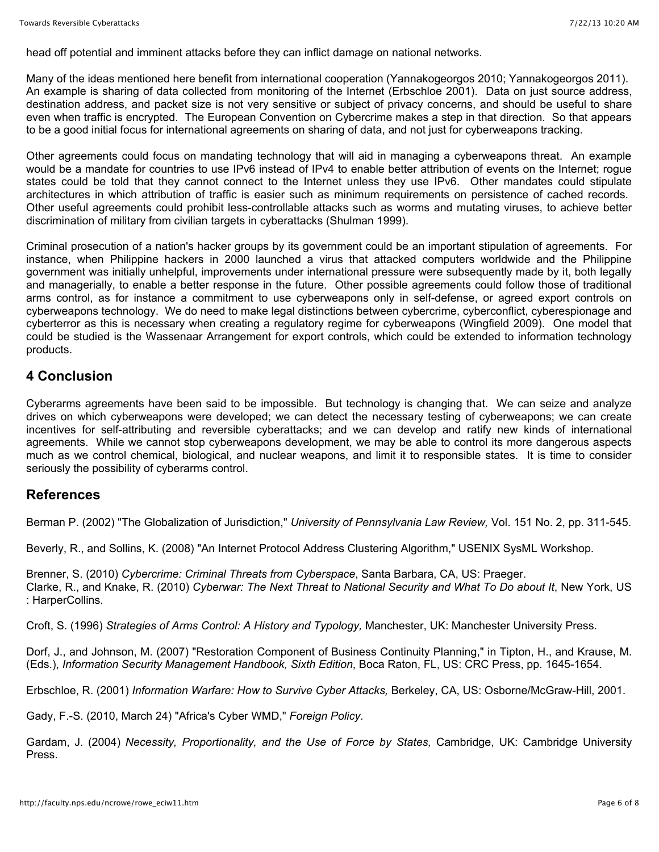head off potential and imminent attacks before they can inflict damage on national networks.

Many of the ideas mentioned here benefit from international cooperation (Yannakogeorgos 2010; Yannakogeorgos 2011). An example is sharing of data collected from monitoring of the Internet (Erbschloe 2001). Data on just source address, destination address, and packet size is not very sensitive or subject of privacy concerns, and should be useful to share even when traffic is encrypted. The European Convention on Cybercrime makes a step in that direction. So that appears to be a good initial focus for international agreements on sharing of data, and not just for cyberweapons tracking.

Other agreements could focus on mandating technology that will aid in managing a cyberweapons threat. An example would be a mandate for countries to use IPv6 instead of IPv4 to enable better attribution of events on the Internet; rogue states could be told that they cannot connect to the Internet unless they use IPv6. Other mandates could stipulate architectures in which attribution of traffic is easier such as minimum requirements on persistence of cached records. Other useful agreements could prohibit less-controllable attacks such as worms and mutating viruses, to achieve better discrimination of military from civilian targets in cyberattacks (Shulman 1999).

Criminal prosecution of a nation's hacker groups by its government could be an important stipulation of agreements. For instance, when Philippine hackers in 2000 launched a virus that attacked computers worldwide and the Philippine government was initially unhelpful, improvements under international pressure were subsequently made by it, both legally and managerially, to enable a better response in the future. Other possible agreements could follow those of traditional arms control, as for instance a commitment to use cyberweapons only in self-defense, or agreed export controls on cyberweapons technology. We do need to make legal distinctions between cybercrime, cyberconflict, cyberespionage and cyberterror as this is necessary when creating a regulatory regime for cyberweapons (Wingfield 2009). One model that could be studied is the Wassenaar Arrangement for export controls, which could be extended to information technology products.

#### **4 Conclusion**

Cyberarms agreements have been said to be impossible. But technology is changing that. We can seize and analyze drives on which cyberweapons were developed; we can detect the necessary testing of cyberweapons; we can create incentives for self-attributing and reversible cyberattacks; and we can develop and ratify new kinds of international agreements. While we cannot stop cyberweapons development, we may be able to control its more dangerous aspects much as we control chemical, biological, and nuclear weapons, and limit it to responsible states. It is time to consider seriously the possibility of cyberarms control.

### **References**

Berman P. (2002) "The Globalization of Jurisdiction," *University of Pennsylvania Law Review,* Vol. 151 No. 2, pp. 311-545.

Beverly, R., and Sollins, K. (2008) "An Internet Protocol Address Clustering Algorithm," USENIX SysML Workshop.

Brenner, S. (2010) *Cybercrime: Criminal Threats from Cyberspace*, Santa Barbara, CA, US: Praeger. Clarke, R., and Knake, R. (2010) *Cyberwar: The Next Threat to National Security and What To Do about It*, New York, US : HarperCollins.

Croft, S. (1996) *Strategies of Arms Control: A History and Typology,* Manchester, UK: Manchester University Press.

Dorf, J., and Johnson, M. (2007) "Restoration Component of Business Continuity Planning," in Tipton, H., and Krause, M. (Eds.), *Information Security Management Handbook, Sixth Edition*, Boca Raton, FL, US: CRC Press, pp. 1645-1654.

Erbschloe, R. (2001) *Information Warfare: How to Survive Cyber Attacks,* Berkeley, CA, US: Osborne/McGraw-Hill, 2001.

Gady, F.-S. (2010, March 24) "Africa's Cyber WMD," *Foreign Policy*.

Gardam, J. (2004) *Necessity, Proportionality, and the Use of Force by States,* Cambridge, UK: Cambridge University Press.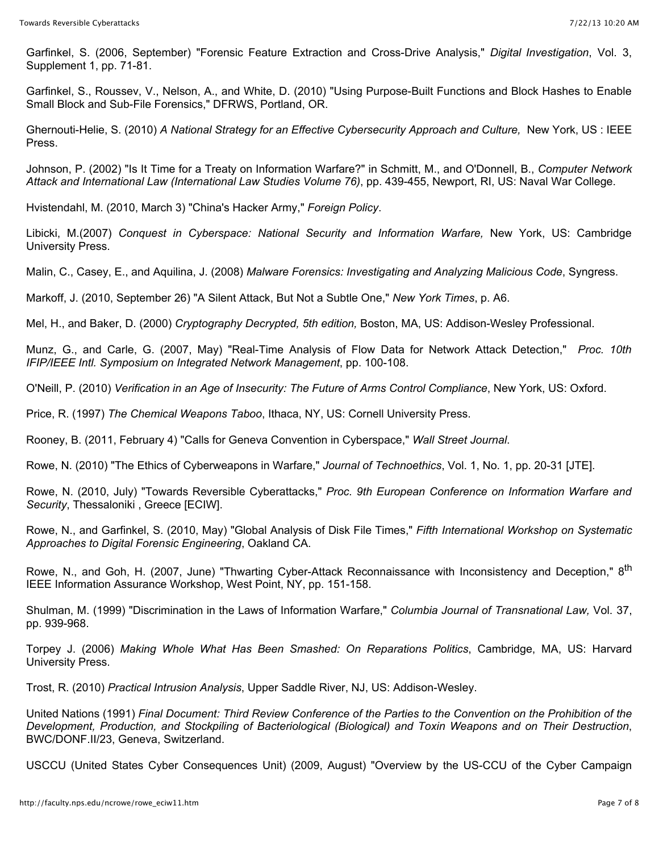Garfinkel, S. (2006, September) "Forensic Feature Extraction and Cross-Drive Analysis," *Digital Investigation*, Vol. 3, Supplement 1, pp. 71-81.

Garfinkel, S., Roussev, V., Nelson, A., and White, D. (2010) "Using Purpose-Built Functions and Block Hashes to Enable Small Block and Sub-File Forensics," DFRWS, Portland, OR.

Ghernouti-Helie, S. (2010) *A National Strategy for an Effective Cybersecurity Approach and Culture,* New York, US : IEEE Press.

Johnson, P. (2002) "Is It Time for a Treaty on Information Warfare?" in Schmitt, M., and O'Donnell, B., *Computer Network Attack and International Law (International Law Studies Volume 76)*, pp. 439-455, Newport, RI, US: Naval War College.

Hvistendahl, M. (2010, March 3) "China's Hacker Army," *Foreign Policy*.

Libicki, M.(2007) *Conquest in Cyberspace: National Security and Information Warfare,* New York, US: Cambridge University Press.

Malin, C., Casey, E., and Aquilina, J. (2008) *Malware Forensics: Investigating and Analyzing Malicious Code*, Syngress.

Markoff, J. (2010, September 26) "A Silent Attack, But Not a Subtle One," *New York Times*, p. A6.

Mel, H., and Baker, D. (2000) *Cryptography Decrypted, 5th edition,* Boston, MA, US: Addison-Wesley Professional.

Munz, G., and Carle, G. (2007, May) "Real-Time Analysis of Flow Data for Network Attack Detection," *Proc. 10th IFIP/IEEE Intl. Symposium on Integrated Network Management*, pp. 100-108.

O'Neill, P. (2010) *Verification in an Age of Insecurity: The Future of Arms Control Compliance*, New York, US: Oxford.

Price, R. (1997) *The Chemical Weapons Taboo*, Ithaca, NY, US: Cornell University Press.

Rooney, B. (2011, February 4) "Calls for Geneva Convention in Cyberspace," *Wall Street Journal*.

Rowe, N. (2010) "The Ethics of Cyberweapons in Warfare," *Journal of Technoethics*, Vol. 1, No. 1, pp. 20-31 [JTE].

Rowe, N. (2010, July) "Towards Reversible Cyberattacks," *Proc. 9th European Conference on Information Warfare and Security*, Thessaloniki , Greece [ECIW].

Rowe, N., and Garfinkel, S. (2010, May) "Global Analysis of Disk File Times," *Fifth International Workshop on Systematic Approaches to Digital Forensic Engineering*, Oakland CA.

Rowe, N., and Goh, H. (2007, June) "Thwarting Cyber-Attack Reconnaissance with Inconsistency and Deception," 8<sup>th</sup> IEEE Information Assurance Workshop, West Point, NY, pp. 151-158.

Shulman, M. (1999) "Discrimination in the Laws of Information Warfare," *Columbia Journal of Transnational Law,* Vol. 37, pp. 939-968.

Torpey J. (2006) *Making Whole What Has Been Smashed: On Reparations Politics*, Cambridge, MA, US: Harvard University Press.

Trost, R. (2010) *Practical Intrusion Analysis*, Upper Saddle River, NJ, US: Addison-Wesley.

United Nations (1991) *Final Document: Third Review Conference of the Parties to the Convention on the Prohibition of the Development, Production, and Stockpiling of Bacteriological (Biological) and Toxin Weapons and on Their Destruction*, BWC/DONF.II/23, Geneva, Switzerland.

USCCU (United States Cyber Consequences Unit) (2009, August) "Overview by the US-CCU of the Cyber Campaign